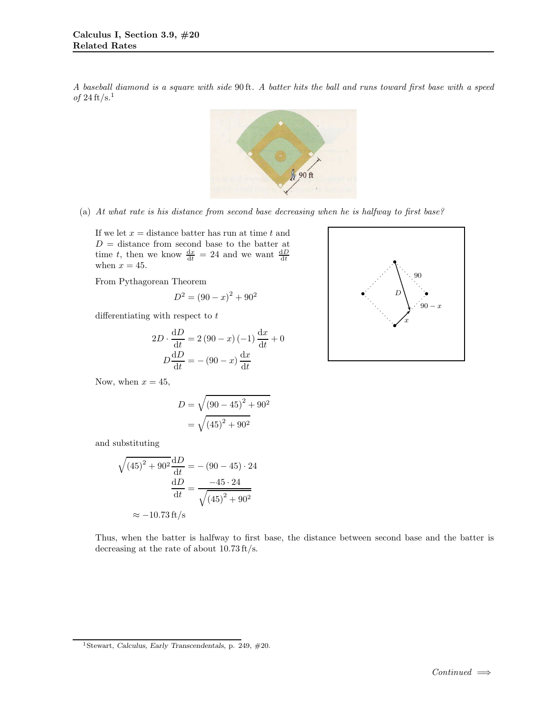A baseball diamond is a square with side 90 ft. A batter hits the ball and runs toward first base with a speed of  $24 \text{ ft/s}.$ <sup>1</sup>



(a) At what rate is his distance from second base decreasing when he is halfway to first base?

If we let  $x =$  distance batter has run at time  $t$  and  $D =$  distance from second base to the batter at time t, then we know  $\frac{dx}{dt} = 24$  and we want  $\frac{dD}{dt}$ when  $x = 45$ .

From Pythagorean Theorem

$$
D^2 = \left(90 - x\right)^2 + 90^2
$$

differentiating with respect to  $t$ 

$$
2D \cdot \frac{dD}{dt} = 2(90 - x)(-1)\frac{dx}{dt} + 0
$$

$$
D\frac{dD}{dt} = -(90 - x)\frac{dx}{dt}
$$

Now, when  $x = 45$ ,

$$
D = \sqrt{(90 - 45)^2 + 90^2}
$$
  
=  $\sqrt{(45)^2 + 90^2}$ 

and substituting

$$
\sqrt{(45)^2 + 90^2} \frac{dD}{dt} = -(90 - 45) \cdot 24
$$

$$
\frac{dD}{dt} = \frac{-45 \cdot 24}{\sqrt{(45)^2 + 90^2}}
$$

$$
\approx -10.73 \text{ ft/s}
$$

Thus, when the batter is halfway to first base, the distance between second base and the batter is decreasing at the rate of about 10.73 ft/s.